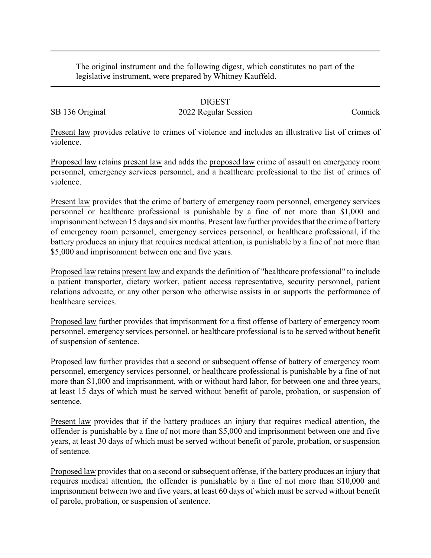The original instrument and the following digest, which constitutes no part of the legislative instrument, were prepared by Whitney Kauffeld.

## DIGEST

SB 136 Original 2022 Regular Session Connick

Present law provides relative to crimes of violence and includes an illustrative list of crimes of violence.

Proposed law retains present law and adds the proposed law crime of assault on emergency room personnel, emergency services personnel, and a healthcare professional to the list of crimes of violence.

Present law provides that the crime of battery of emergency room personnel, emergency services personnel or healthcare professional is punishable by a fine of not more than \$1,000 and imprisonment between 15 days and six months. Present law further provides that the crime of battery of emergency room personnel, emergency services personnel, or healthcare professional, if the battery produces an injury that requires medical attention, is punishable by a fine of not more than \$5,000 and imprisonment between one and five years.

Proposed law retains present law and expands the definition of "healthcare professional" to include a patient transporter, dietary worker, patient access representative, security personnel, patient relations advocate, or any other person who otherwise assists in or supports the performance of healthcare services.

Proposed law further provides that imprisonment for a first offense of battery of emergency room personnel, emergency services personnel, or healthcare professional is to be served without benefit of suspension of sentence.

Proposed law further provides that a second or subsequent offense of battery of emergency room personnel, emergency services personnel, or healthcare professional is punishable by a fine of not more than \$1,000 and imprisonment, with or without hard labor, for between one and three years, at least 15 days of which must be served without benefit of parole, probation, or suspension of sentence.

Present law provides that if the battery produces an injury that requires medical attention, the offender is punishable by a fine of not more than \$5,000 and imprisonment between one and five years, at least 30 days of which must be served without benefit of parole, probation, or suspension of sentence.

Proposed law provides that on a second or subsequent offense, if the battery produces an injury that requires medical attention, the offender is punishable by a fine of not more than \$10,000 and imprisonment between two and five years, at least 60 days of which must be served without benefit of parole, probation, or suspension of sentence.